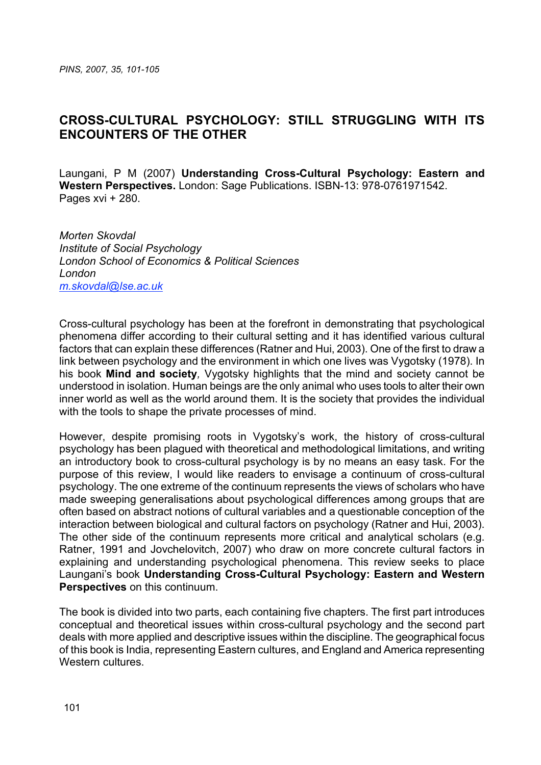## **CROSS-CULTURAL PSYCHOLOGY: STILL STRUGGLING WITH ITS ENCOUNTERS OF THE OTHER**

Laungani, P M (2007) **Understanding Cross-Cultural Psychology: Eastern and Western Perspectives.** London: Sage Publications. ISBN-13: 978-0761971542. Pages xvi + 280.

*Morten Skovdal Institute of Social Psychology London School of Economics & Political Sciences London m.skovdal@lse.ac.uk*

Cross-cultural psychology has been at the forefront in demonstrating that psychological phenomena differ according to their cultural setting and it has identified various cultural factors that can explain these differences (Ratner and Hui, 2003). One of the first to draw a link between psychology and the environment in which one lives was Vygotsky (1978). In his book **Mind and society***,* Vygotsky highlights that the mind and society cannot be understood in isolation. Human beings are the only animal who uses tools to alter their own inner world as well as the world around them. It is the society that provides the individual with the tools to shape the private processes of mind.

However, despite promising roots in Vygotsky's work, the history of cross-cultural psychology has been plagued with theoretical and methodological limitations, and writing an introductory book to cross-cultural psychology is by no means an easy task. For the purpose of this review, I would like readers to envisage a continuum of cross-cultural psychology. The one extreme of the continuum represents the views of scholars who have made sweeping generalisations about psychological differences among groups that are often based on abstract notions of cultural variables and a questionable conception of the interaction between biological and cultural factors on psychology (Ratner and Hui, 2003). The other side of the continuum represents more critical and analytical scholars (e.g. Ratner, 1991 and Jovchelovitch, 2007) who draw on more concrete cultural factors in explaining and understanding psychological phenomena. This review seeks to place Laungani's book **Understanding Cross-Cultural Psychology: Eastern and Western Perspectives** on this continuum.

The book is divided into two parts, each containing five chapters. The first part introduces conceptual and theoretical issues within cross-cultural psychology and the second part deals with more applied and descriptive issues within the discipline. The geographical focus of this book is India, representing Eastern cultures, and England and America representing Western cultures.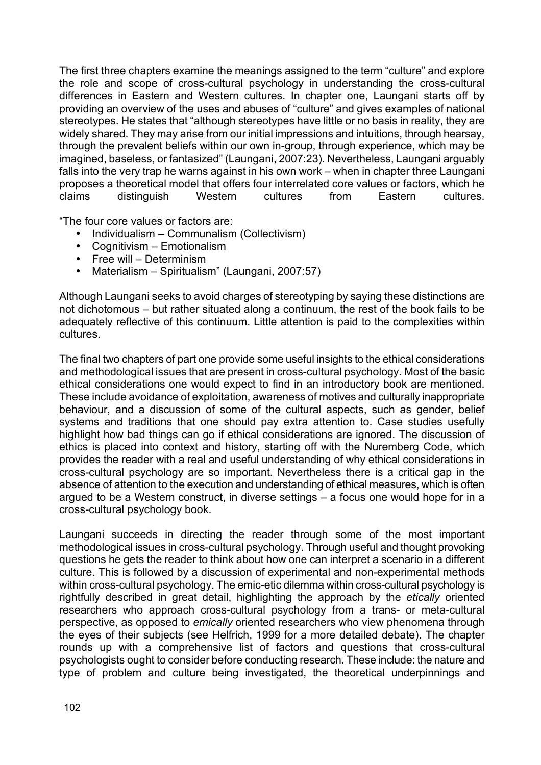The first three chapters examine the meanings assigned to the term "culture" and explore the role and scope of cross-cultural psychology in understanding the cross-cultural differences in Eastern and Western cultures. In chapter one, Laungani starts off by providing an overview of the uses and abuses of "culture" and gives examples of national stereotypes. He states that "although stereotypes have little or no basis in reality, they are widely shared. They may arise from our initial impressions and intuitions, through hearsay, through the prevalent beliefs within our own in-group, through experience, which may be imagined, baseless, or fantasized" (Laungani, 2007:23). Nevertheless, Laungani arguably falls into the very trap he warns against in his own work – when in chapter three Laungani proposes a theoretical model that offers four interrelated core values or factors, which he claims distinguish Western cultures from Eastern cultures.

"The four core values or factors are:

- Individualism Communalism (Collectivism)
- Cognitivism Emotionalism
- Free will Determinism
- Materialism Spiritualism" (Laungani, 2007:57)

Although Laungani seeks to avoid charges of stereotyping by saying these distinctions are not dichotomous – but rather situated along a continuum, the rest of the book fails to be adequately reflective of this continuum. Little attention is paid to the complexities within cultures.

The final two chapters of part one provide some useful insights to the ethical considerations and methodological issues that are present in cross-cultural psychology. Most of the basic ethical considerations one would expect to find in an introductory book are mentioned. These include avoidance of exploitation, awareness of motives and culturally inappropriate behaviour, and a discussion of some of the cultural aspects, such as gender, belief systems and traditions that one should pay extra attention to. Case studies usefully highlight how bad things can go if ethical considerations are ignored. The discussion of ethics is placed into context and history, starting off with the Nuremberg Code, which provides the reader with a real and useful understanding of why ethical considerations in cross-cultural psychology are so important. Nevertheless there is a critical gap in the absence of attention to the execution and understanding of ethical measures, which is often argued to be a Western construct, in diverse settings – a focus one would hope for in a cross-cultural psychology book.

Laungani succeeds in directing the reader through some of the most important methodological issues in cross-cultural psychology. Through useful and thought provoking questions he gets the reader to think about how one can interpret a scenario in a different culture. This is followed by a discussion of experimental and non-experimental methods within cross-cultural psychology. The emic-etic dilemma within cross-cultural psychology is rightfully described in great detail, highlighting the approach by the *etically* oriented researchers who approach cross-cultural psychology from a trans- or meta-cultural perspective, as opposed to *emically* oriented researchers who view phenomena through the eyes of their subjects (see Helfrich, 1999 for a more detailed debate). The chapter rounds up with a comprehensive list of factors and questions that cross-cultural psychologists ought to consider before conducting research. These include: the nature and type of problem and culture being investigated, the theoretical underpinnings and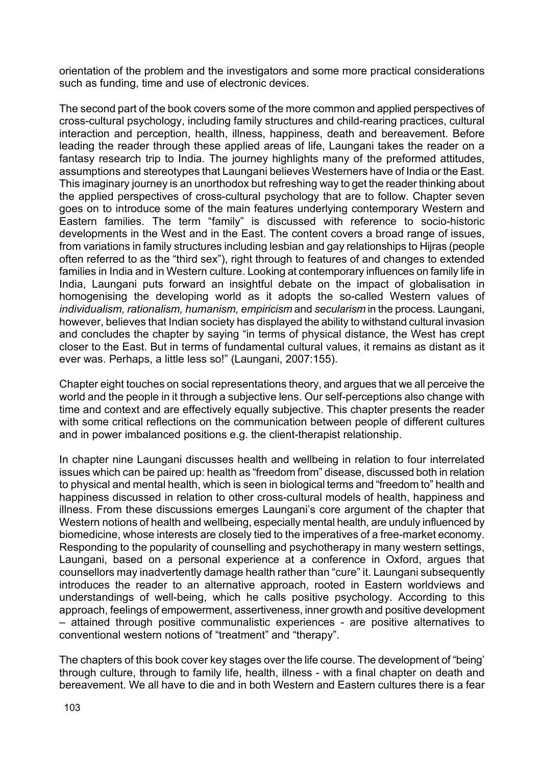orientation of the problem and the investigators and some more practical considerations such as funding, time and use of electronic devices.

The second part of the book covers some of the more common and applied perspectives of cross-cultural psychology, including family structures and child-rearing practices, cultural interaction and perception, health, illness, happiness, death and bereavement. Before leading the reader through these applied areas of life, Laungani takes the reader on a fantasy research trip to India. The journey highlights many of the preformed attitudes, assumptions and stereotypes that Laungani believes Westerners have of India or the East. This imaginary journey is an unorthodox but refreshing way to get the reader thinking about the applied perspectives of cross-cultural psychology that are to follow. Chapter seven goes on to introduce some of the main features underlying contemporary Western and Eastern families. The term "family" is discussed with reference to socio-historic developments in the West and in the East. The content covers a broad range of issues, from variations in family structures including lesbian and gay relationships to Hijras (people often referred to as the "third sex"), right through to features of and changes to extended families in India and in Western culture. Looking at contemporary influences on family life in India, Laungani puts forward an insightful debate on the impact of globalisation in homogenising the developing world as it adopts the so-called Western values of *individualism, rationalism, humanism, empiricism* and *secularism* in the process*.* Laungani, however, believes that Indian society has displayed the ability to withstand cultural invasion and concludes the chapter by saying "in terms of physical distance, the West has crept closer to the East. But in terms of fundamental cultural values, it remains as distant as it ever was. Perhaps, a little less so!" (Laungani, 2007:155).

Chapter eight touches on social representations theory, and argues that we all perceive the world and the people in it through a subjective lens. Our self-perceptions also change with time and context and are effectively equally subjective. This chapter presents the reader with some critical reflections on the communication between people of different cultures and in power imbalanced positions e.g. the client-therapist relationship.

In chapter nine Laungani discusses health and wellbeing in relation to four interrelated issues which can be paired up: health as "freedom from" disease, discussed both in relation to physical and mental health, which is seen in biological terms and "freedom to" health and happiness discussed in relation to other cross-cultural models of health, happiness and illness. From these discussions emerges Laungani's core argument of the chapter that Western notions of health and wellbeing, especially mental health, are unduly influenced by biomedicine, whose interests are closely tied to the imperatives of a free-market economy. Responding to the popularity of counselling and psychotherapy in many western settings, Laungani, based on a personal experience at a conference in Oxford, argues that counsellors may inadvertently damage health rather than "cure" it. Laungani subsequently introduces the reader to an alternative approach, rooted in Eastern worldviews and understandings of well-being, which he calls positive psychology. According to this approach, feelings of empowerment, assertiveness, inner growth and positive development – attained through positive communalistic experiences - are positive alternatives to conventional western notions of "treatment" and "therapy".

The chapters of this book cover key stages over the life course. The development of "being' through culture, through to family life, health, illness - with a final chapter on death and bereavement. We all have to die and in both Western and Eastern cultures there is a fear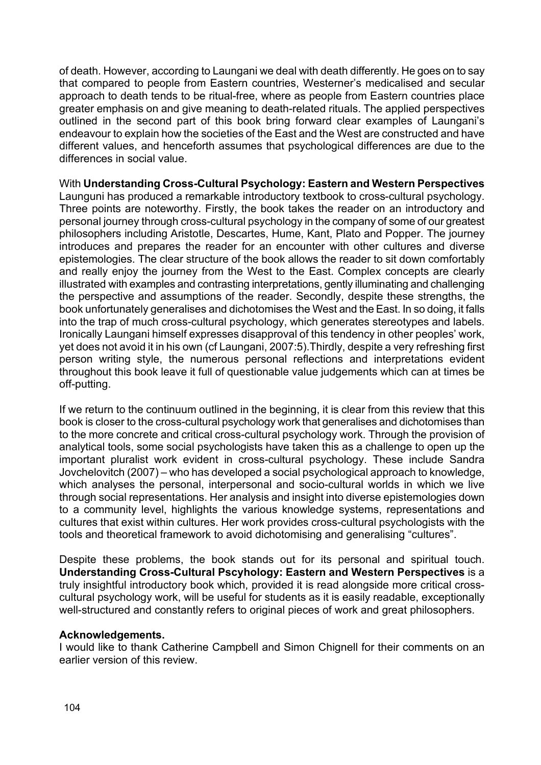of death. However, according to Laungani we deal with death differently. He goes on to say that compared to people from Eastern countries, Westerner's medicalised and secular approach to death tends to be ritual-free, where as people from Eastern countries place greater emphasis on and give meaning to death-related rituals. The applied perspectives outlined in the second part of this book bring forward clear examples of Laungani's endeavour to explain how the societies of the East and the West are constructed and have different values, and henceforth assumes that psychological differences are due to the differences in social value.

## With **Understanding Cross-Cultural Psychology: Eastern and Western Perspectives** Launguni has produced a remarkable introductory textbook to cross-cultural psychology. Three points are noteworthy. Firstly, the book takes the reader on an introductory and personal journey through cross-cultural psychology in the company of some of our greatest philosophers including Aristotle, Descartes, Hume, Kant, Plato and Popper. The journey introduces and prepares the reader for an encounter with other cultures and diverse epistemologies. The clear structure of the book allows the reader to sit down comfortably and really enjoy the journey from the West to the East. Complex concepts are clearly illustrated with examples and contrasting interpretations, gently illuminating and challenging the perspective and assumptions of the reader. Secondly, despite these strengths, the book unfortunately generalises and dichotomises the West and the East. In so doing, it falls into the trap of much cross-cultural psychology, which generates stereotypes and labels.

Ironically Laungani himself expresses disapproval of this tendency in other peoples' work, yet does not avoid it in his own (cf Laungani, 2007:5).Thirdly, despite a very refreshing first person writing style, the numerous personal reflections and interpretations evident throughout this book leave it full of questionable value judgements which can at times be off-putting.

If we return to the continuum outlined in the beginning, it is clear from this review that this book is closer to the cross-cultural psychology work that generalises and dichotomises than to the more concrete and critical cross-cultural psychology work. Through the provision of analytical tools, some social psychologists have taken this as a challenge to open up the important pluralist work evident in cross-cultural psychology. These include Sandra Jovchelovitch (2007) – who has developed a social psychological approach to knowledge, which analyses the personal, interpersonal and socio-cultural worlds in which we live through social representations. Her analysis and insight into diverse epistemologies down to a community level, highlights the various knowledge systems, representations and cultures that exist within cultures. Her work provides cross-cultural psychologists with the tools and theoretical framework to avoid dichotomising and generalising "cultures".

Despite these problems, the book stands out for its personal and spiritual touch. **Understanding Cross-Cultural Pscyhology: Eastern and Western Perspectives** is a truly insightful introductory book which, provided it is read alongside more critical crosscultural psychology work, will be useful for students as it is easily readable, exceptionally well-structured and constantly refers to original pieces of work and great philosophers.

## **Acknowledgements.**

I would like to thank Catherine Campbell and Simon Chignell for their comments on an earlier version of this review.